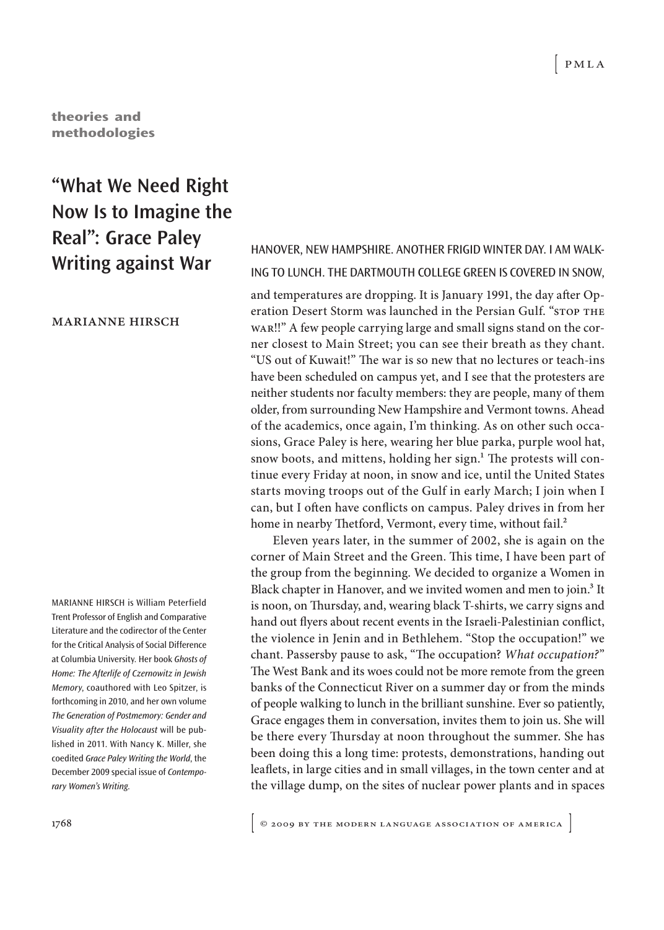**theories and methodologies**

# **"What We Need Right Now Is to Imagine the Real": Grace Paley Writing against War**

marianne hirsch

Marianne Hirsch is William Peterfield Trent Professor of English and Comparative Literature and the codirector of the Center for the Critical Analysis of Social Difference at Columbia University. Her book *Ghosts of Home: The Afterlife of Czernowitz in Jewish Memory*, coauthored with Leo Spitzer, is forthcoming in 2010, and her own volume *The Generation of Postmemory: Gender and Visuality after the Holocaust* will be published in 2011. With Nancy K. Miller, she coedited *Grace Paley Writing the World*, the December 2009 special issue of *Contemporary Women's Writing*.

## Hanover, New Hampshire. Another frigid winter day. I am walking to lunch. The Dartmouth College Green is covered in snow,

and temperatures are dropping. It is January 1991, the day after Operation Desert Storm was launched in the Persian Gulf. "STOP THE WAR!!" A few people carrying large and small signs stand on the corner closest to Main Street; you can see their breath as they chant. "US out of Kuwait!" The war is so new that no lectures or teach-ins have been scheduled on campus yet, and I see that the protesters are neither students nor faculty members: they are people, many of them older, from surrounding New Hampshire and Vermont towns. Ahead of the academics, once again, I'm thinking. As on other such occasions, Grace Paley is here, wearing her blue parka, purple wool hat, snow boots, and mittens, holding her sign.<sup>1</sup> The protests will continue every Friday at noon, in snow and ice, until the United States starts moving troops out of the Gulf in early March; I join when I can, but I often have conflicts on campus. Paley drives in from her home in nearby Thetford, Vermont, every time, without fail.<sup>2</sup>

Eleven years later, in the summer of 2002, she is again on the corner of Main Street and the Green. This time, I have been part of the group from the beginning. We decided to organize a Women in Black chapter in Hanover, and we invited women and men to join.<sup>3</sup> It is noon, on Thursday, and, wearing black T-shirts, we carry signs and hand out flyers about recent events in the Israeli-Palestinian conflict, the violence in Jenin and in Bethlehem. "Stop the occupation!" we chant. Passersby pause to ask, "The occupation? *What occupation?*" The West Bank and its woes could not be more remote from the green banks of the Connecticut River on a summer day or from the minds of people walking to lunch in the brilliant sunshine. Ever so patiently, Grace engages them in conversation, invites them to join us. She will be there every Thursday at noon throughout the summer. She has been doing this a long time: protests, demonstrations, handing out leaflets, in large cities and in small villages, in the town center and at the village dump, on the sites of nuclear power plants and in spaces

 $1768$   $\circ$  2009 by the modern language association of america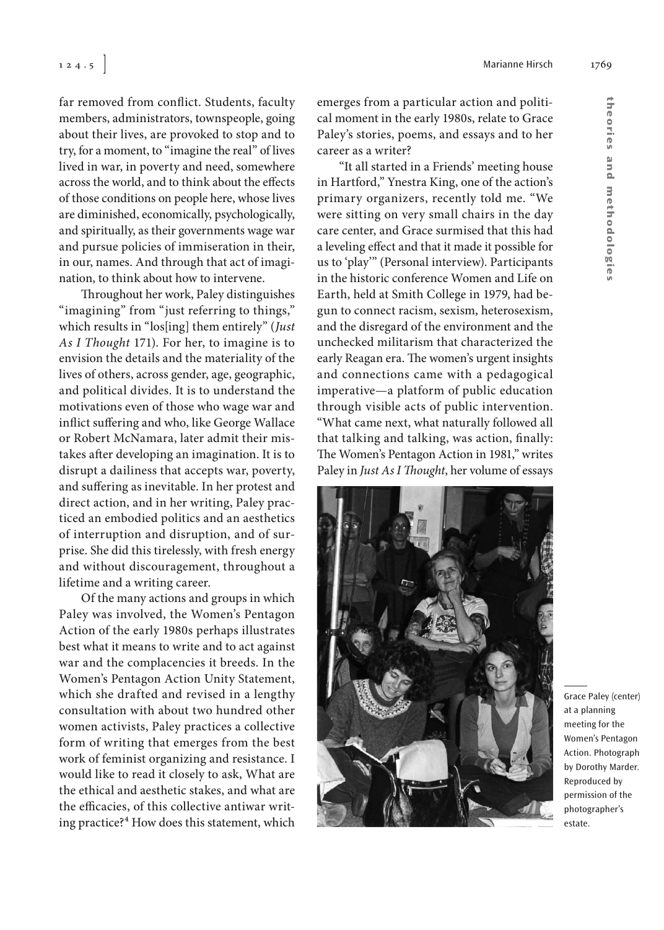far removed from conflict. Students, faculty members, administrators, townspeople, going about their lives, are provoked to stop and to try, for a moment, to "imagine the real" of lives lived in war, in poverty and need, somewhere across the world, and to think about the effects of those conditions on people here, whose lives are diminished, economically, psychologically, and spiritually, as their governments wage war and pursue policies of immiseration in their, in our, names. And through that act of imagination, to think about how to intervene.

Throughout her work, Paley distinguishes "imagining" from "just referring to things," which results in "los[ing] them entirely" (*Just As I Thought* 171). For her, to imagine is to envision the details and the materiality of the lives of others, across gender, age, geographic, and political divides. It is to understand the motivations even of those who wage war and inflict suffering and who, like George Wallace or Robert McNamara, later admit their mistakes after developing an imagination. It is to disrupt a dailiness that accepts war, poverty, and suffering as inevitable. In her protest and direct action, and in her writing, Paley practiced an embodied politics and an aesthetics of interruption and disruption, and of surprise. She did this tirelessly, with fresh energy and without discouragement, throughout a lifetime and a writing career.

Of the many actions and groups in which Paley was involved, the Women's Pentagon Action of the early 1980s perhaps illustrates best what it means to write and to act against war and the complacencies it breeds. In the Women's Pentagon Action Unity Statement, which she drafted and revised in a lengthy consultation with about two hundred other women activists, Paley practices a collective form of writing that emerges from the best work of feminist organizing and resistance. I would like to read it closely to ask, What are the ethical and aesthetic stakes, and what are the efficacies, of this collective antiwar writing practice?<sup>4</sup> How does this statement, which

emerges from a particular action and political moment in the early 1980s, relate to Grace Paley's stories, poems, and essays and to her career as a writer?

"It all started in a Friends' meeting house in Hartford," Ynestra King, one of the action's primary organizers, recently told me. "We were sitting on very small chairs in the day care center, and Grace surmised that this had a leveling effect and that it made it possible for us to 'play'" (Personal interview). Participants in the historic conference Women and Life on Earth, held at Smith College in 1979, had begun to connect racism, sexism, heterosexism, and the disregard of the environment and the unchecked militarism that characterized the early Reagan era. The women's urgent insights and connections came with a pedagogical imperative—a platform of public education through visible acts of public intervention. "What came next, what naturally followed all that talking and talking, was action, finally: The Women's Pentagon Action in 1981," writes Paley in *Just As I Thought*, her volume of essays



Grace Paley (center) at a planning meeting for the Women's Pentagon Action. Photograph by Dorothy Marder. Reproduced by permission of the photographer's estate.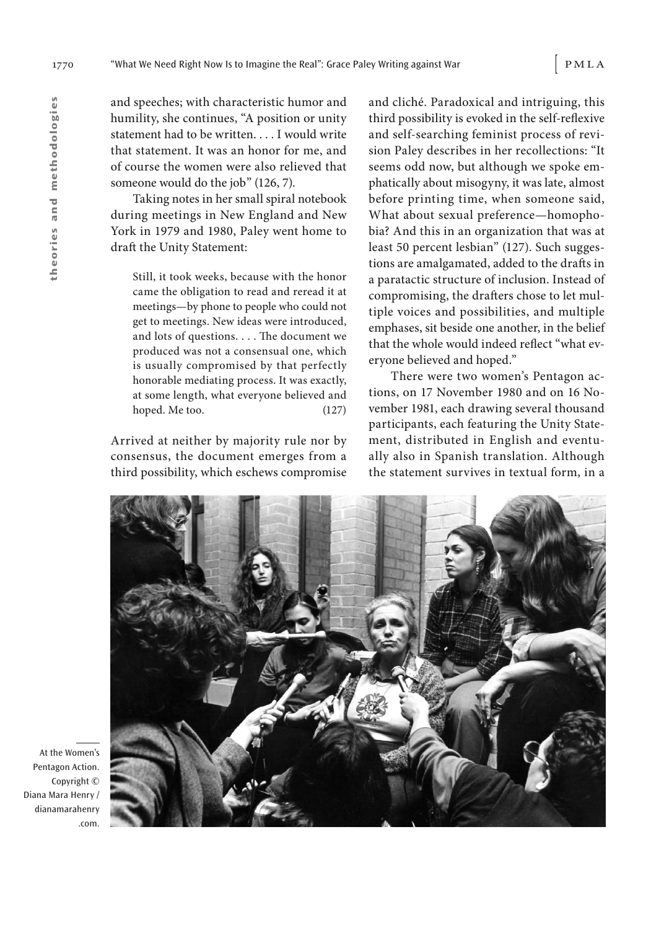and speeches; with characteristic humor and humility, she continues, "A position or unity statement had to be written. . . . I would write that statement. It was an honor for me, and of course the women were also relieved that someone would do the job" (126, 7).

Taking notes in her small spiral notebook during meetings in New England and New York in 1979 and 1980, Paley went home to draft the Unity Statement:

Still, it took weeks, because with the honor came the obligation to read and reread it at meetings—by phone to people who could not get to meetings. New ideas were introduced, and lots of questions. . . . The document we produced was not a consensual one, which is usually compromised by that perfectly honorable mediating process. It was exactly, at some length, what everyone believed and hoped. Me too. (127)

Arrived at neither by majority rule nor by consensus, the document emerges from a third possibility, which eschews compromise

and cliché. Paradoxical and intriguing, this third possibility is evoked in the self-reflexive and self-searching feminist process of revision Paley describes in her recollections: "It seems odd now, but although we spoke emphatically about misogyny, it was late, almost before printing time, when someone said, What about sexual preference—homophobia? And this in an organization that was at least 50 percent lesbian" (127). Such suggestions are amalgamated, added to the drafts in a paratactic structure of inclusion. Instead of compromising, the drafters chose to let multiple voices and possibilities, and multiple emphases, sit beside one another, in the belief that the whole would indeed reflect "what everyone believed and hoped."

There were two women's Pentagon actions, on 17 November 1980 and on 16 November 1981, each drawing several thousand participants, each featuring the Unity Statement, distributed in English and eventually also in Spanish translation. Although the statement survives in textual form, in a



At the Women's Pentagon Action. Copyright © Diana Mara Henry / dianamarahenry .com.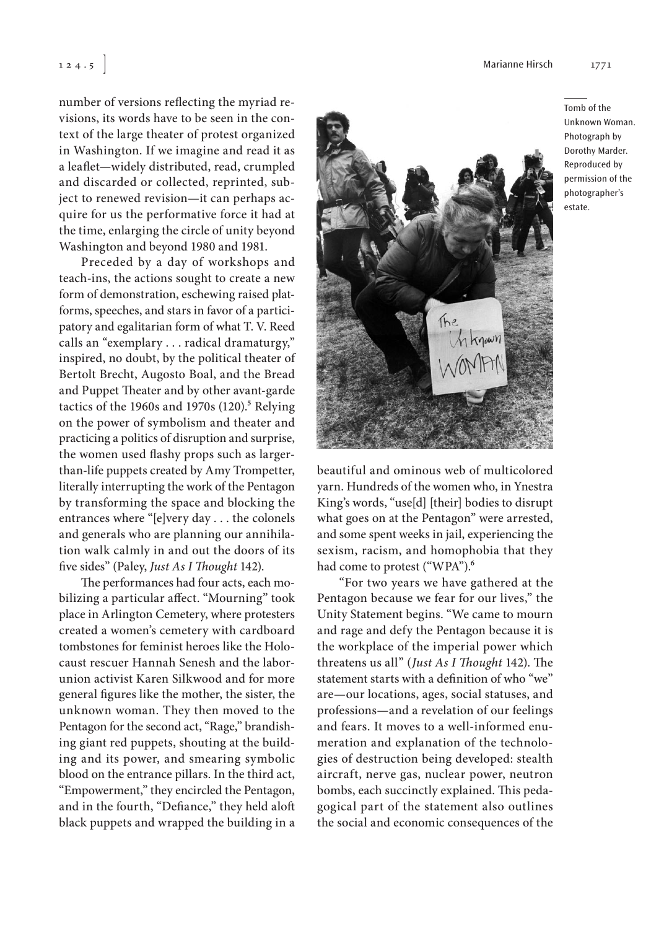number of versions reflecting the myriad revisions, its words have to be seen in the context of the large theater of protest organized in Washington. If we imagine and read it as a leaflet—widely distributed, read, crumpled and discarded or collected, reprinted, subject to renewed revision—it can perhaps acquire for us the performative force it had at the time, enlarging the circle of unity beyond Washington and beyond 1980 and 1981.

Preceded by a day of workshops and teach-ins, the actions sought to create a new form of demonstration, eschewing raised platforms, speeches, and stars in favor of a participatory and egalitarian form of what T. V. Reed calls an "exemplary . . . radical dramaturgy," inspired, no doubt, by the political theater of Bertolt Brecht, Augosto Boal, and the Bread and Puppet Theater and by other avant-garde tactics of the 1960s and 1970s  $(120)$ .<sup>5</sup> Relying on the power of symbolism and theater and practicing a politics of disruption and surprise, the women used flashy props such as largerthan-life puppets created by Amy Trompetter, literally interrupting the work of the Pentagon by transforming the space and blocking the entrances where "[e]very day . . . the colonels and generals who are planning our annihilation walk calmly in and out the doors of its five sides" (Paley, *Just As I Thought* 142).

The performances had four acts, each mobilizing a particular affect. "Mourning" took place in Arlington Cemetery, where protesters created a women's cemetery with cardboard tombstones for feminist heroes like the Holocaust rescuer Hannah Senesh and the laborunion activist Karen Silkwood and for more general figures like the mother, the sister, the unknown woman. They then moved to the Pentagon for the second act, "Rage," brandishing giant red puppets, shouting at the building and its power, and smearing symbolic blood on the entrance pillars. In the third act, "Empowerment," they encircled the Pentagon, and in the fourth, "Defiance," they held aloft black puppets and wrapped the building in a

beautiful and ominous web of multicolored yarn. Hundreds of the women who, in Ynestra King's words, "use[d] [their] bodies to disrupt what goes on at the Pentagon" were arrested, and some spent weeks in jail, experiencing the

had come to protest ("WPA").<sup>6</sup> "For two years we have gathered at the Pentagon because we fear for our lives," the Unity Statement begins. "We came to mourn and rage and defy the Pentagon because it is the workplace of the imperial power which threatens us all" (*Just As I Thought* 142). The statement starts with a definition of who "we" are—our locations, ages, social statuses, and professions—and a revelation of our feelings and fears. It moves to a well-informed enumeration and explanation of the technologies of destruction being developed: stealth aircraft, nerve gas, nuclear power, neutron bombs, each succinctly explained. This pedagogical part of the statement also outlines the social and economic consequences of the

sexism, racism, and homophobia that they

Tomb of the Unknown Woman. Photograph by Dorothy Marder. Reproduced by permission of the photographer's estate.

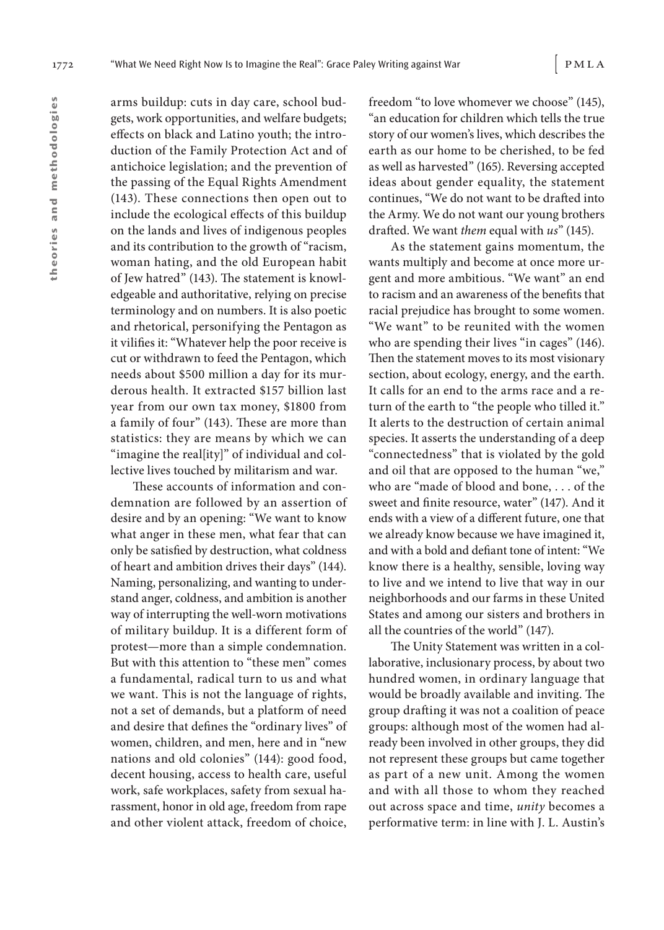arms buildup: cuts in day care, school budgets, work opportunities, and welfare budgets; effects on black and Latino youth; the introduction of the Family Protection Act and of antichoice legislation; and the prevention of the passing of the Equal Rights Amendment (143). These connections then open out to include the ecological effects of this buildup on the lands and lives of indigenous peoples and its contribution to the growth of "racism, woman hating, and the old European habit of Jew hatred" (143). The statement is knowledgeable and authoritative, relying on precise terminology and on numbers. It is also poetic and rhetorical, personifying the Pentagon as it vilifies it: "Whatever help the poor receive is cut or withdrawn to feed the Pentagon, which needs about \$500 million a day for its murderous health. It extracted \$157 billion last year from our own tax money, \$1800 from a family of four" (143). These are more than statistics: they are means by which we can "imagine the real[ity]" of individual and collective lives touched by militarism and war.

These accounts of information and condemnation are followed by an assertion of desire and by an opening: "We want to know what anger in these men, what fear that can only be satisfied by destruction, what coldness of heart and ambition drives their days" (144). Naming, personalizing, and wanting to understand anger, coldness, and ambition is another way of interrupting the well-worn motivations of military buildup. It is a different form of protest—more than a simple condemnation. But with this attention to "these men" comes a fundamental, radical turn to us and what we want. This is not the language of rights, not a set of demands, but a platform of need and desire that defines the "ordinary lives" of women, children, and men, here and in "new nations and old colonies" (144): good food, decent housing, access to health care, useful work, safe workplaces, safety from sexual harassment, honor in old age, freedom from rape and other violent attack, freedom of choice,

freedom "to love whomever we choose" (145), "an education for children which tells the true story of our women's lives, which describes the earth as our home to be cherished, to be fed as well as harvested" (165). Reversing accepted ideas about gender equality, the statement continues, "We do not want to be drafted into the Army. We do not want our young brothers drafted. We want *them* equal with *us*" (145).

As the statement gains momentum, the wants multiply and become at once more urgent and more ambitious. "We want" an end to racism and an awareness of the benefits that racial prejudice has brought to some women. "We want" to be reunited with the women who are spending their lives "in cages" (146). Then the statement moves to its most visionary section, about ecology, energy, and the earth. It calls for an end to the arms race and a return of the earth to "the people who tilled it." It alerts to the destruction of certain animal species. It asserts the understanding of a deep "connectedness" that is violated by the gold and oil that are opposed to the human "we," who are "made of blood and bone, . . . of the sweet and finite resource, water" (147). And it ends with a view of a different future, one that we already know because we have imagined it, and with a bold and defiant tone of intent: "We know there is a healthy, sensible, loving way to live and we intend to live that way in our neighborhoods and our farms in these United States and among our sisters and brothers in all the countries of the world" (147).

The Unity Statement was written in a collaborative, inclusionary process, by about two hundred women, in ordinary language that would be broadly available and inviting. The group drafting it was not a coalition of peace groups: although most of the women had already been involved in other groups, they did not represent these groups but came together as part of a new unit. Among the women and with all those to whom they reached out across space and time, *unity* becomes a performative term: in line with J. L. Austin's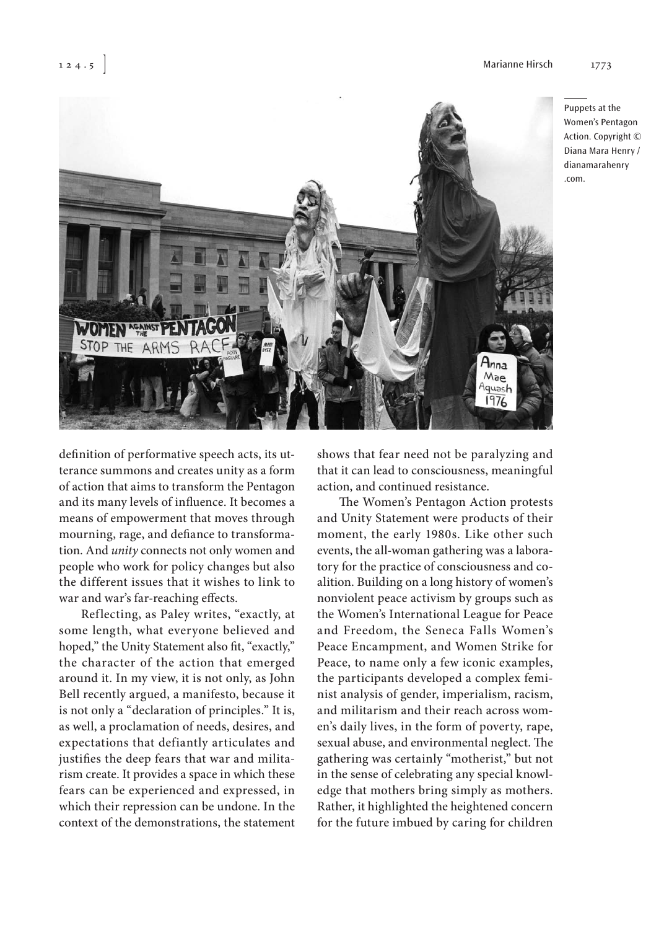

definition of performative speech acts, its utterance summons and creates unity as a form of action that aims to transform the Pentagon and its many levels of influence. It becomes a means of empowerment that moves through mourning, rage, and defiance to transformation. And *unity* connects not only women and people who work for policy changes but also the different issues that it wishes to link to war and war's far-reaching effects.

Reflecting, as Paley writes, "exactly, at some length, what everyone believed and hoped," the Unity Statement also fit, "exactly," the character of the action that emerged around it. In my view, it is not only, as John Bell recently argued, a manifesto, because it is not only a "declaration of principles." It is, as well, a proclamation of needs, desires, and expectations that defiantly articulates and justifies the deep fears that war and militarism create. It provides a space in which these fears can be experienced and expressed, in which their repression can be undone. In the context of the demonstrations, the statement

shows that fear need not be paralyzing and that it can lead to consciousness, meaningful action, and continued resistance.

The Women's Pentagon Action protests and Unity Statement were products of their moment, the early 1980s. Like other such events, the all-woman gathering was a laboratory for the practice of consciousness and coalition. Building on a long history of women's nonviolent peace activism by groups such as the Women's International League for Peace and Freedom, the Seneca Falls Women's Peace Encampment, and Women Strike for Peace, to name only a few iconic examples, the participants developed a complex feminist analysis of gender, imperialism, racism, and militarism and their reach across women's daily lives, in the form of poverty, rape, sexual abuse, and environmental neglect. The gathering was certainly "motherist," but not in the sense of celebrating any special knowledge that mothers bring simply as mothers. Rather, it highlighted the heightened concern for the future imbued by caring for children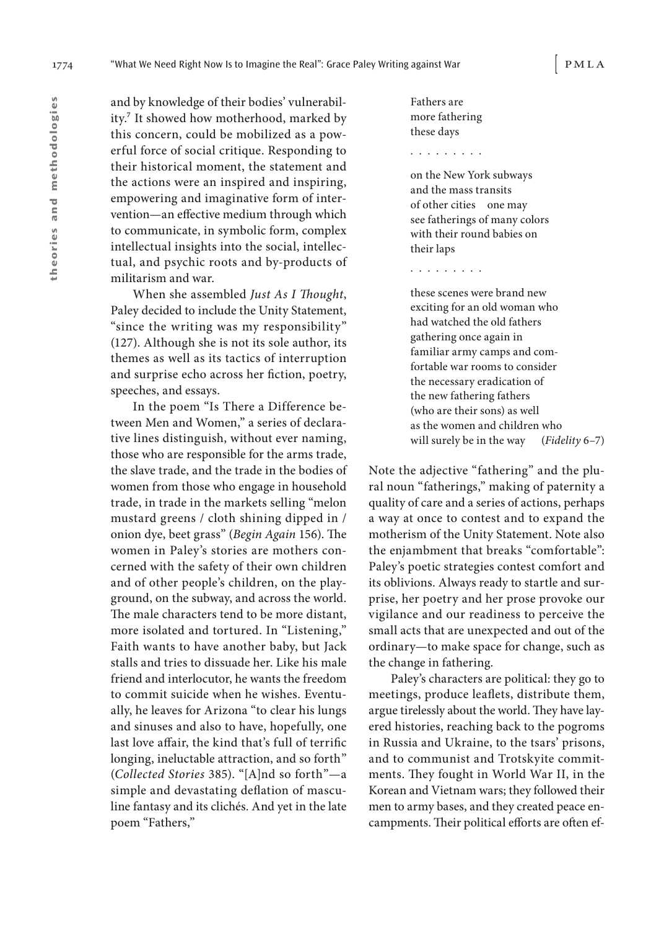and by knowledge of their bodies' vulnerability.<sup>7</sup> It showed how motherhood, marked by this concern, could be mobilized as a powerful force of social critique. Responding to their historical moment, the statement and the actions were an inspired and inspiring, empowering and imaginative form of intervention—an effective medium through which to communicate, in symbolic form, complex intellectual insights into the social, intellectual, and psychic roots and by-products of militarism and war.

When she assembled *Just As I Thought*, Paley decided to include the Unity Statement, "since the writing was my responsibility" (127). Although she is not its sole author, its themes as well as its tactics of interruption and surprise echo across her fiction, poetry, speeches, and essays.

In the poem "Is There a Difference between Men and Women," a series of declarative lines distinguish, without ever naming, those who are responsible for the arms trade, the slave trade, and the trade in the bodies of women from those who engage in household trade, in trade in the markets selling "melon mustard greens / cloth shining dipped in / onion dye, beet grass" (*Begin Again* 156). The women in Paley's stories are mothers concerned with the safety of their own children and of other people's children, on the playground, on the subway, and across the world. The male characters tend to be more distant, more isolated and tortured. In "Listening," Faith wants to have another baby, but Jack stalls and tries to dissuade her. Like his male friend and interlocutor, he wants the freedom to commit suicide when he wishes. Eventually, he leaves for Arizona "to clear his lungs and sinuses and also to have, hopefully, one last love affair, the kind that's full of terrific longing, ineluctable attraction, and so forth" (*Collected Stories* 385). "[A]nd so forth"—a simple and devastating deflation of masculine fantasy and its clichés. And yet in the late poem "Fathers,"

Fathers are more fathering these days

. . . . . . . . .

on the New York subways and the mass transits of other cities one may see fatherings of many colors with their round babies on their laps

. . . . . . . . .

these scenes were brand new exciting for an old woman who had watched the old fathers gathering once again in familiar army camps and comfortable war rooms to consider the necessary eradication of the new fathering fathers (who are their sons) as well as the women and children who will surely be in the way (*Fidelity* 6–7)

Note the adjective "fathering" and the plural noun "fatherings," making of paternity a quality of care and a series of actions, perhaps a way at once to contest and to expand the motherism of the Unity Statement. Note also the enjambment that breaks "comfortable": Paley's poetic strategies contest comfort and its oblivions. Always ready to startle and surprise, her poetry and her prose provoke our vigilance and our readiness to perceive the small acts that are unexpected and out of the ordinary—to make space for change, such as the change in fathering.

Paley's characters are political: they go to meetings, produce leaflets, distribute them, argue tirelessly about the world. They have layered histories, reaching back to the pogroms in Russia and Ukraine, to the tsars' prisons, and to communist and Trotskyite commitments. They fought in World War II, in the Korean and Vietnam wars; they followed their men to army bases, and they created peace encampments. Their political efforts are often ef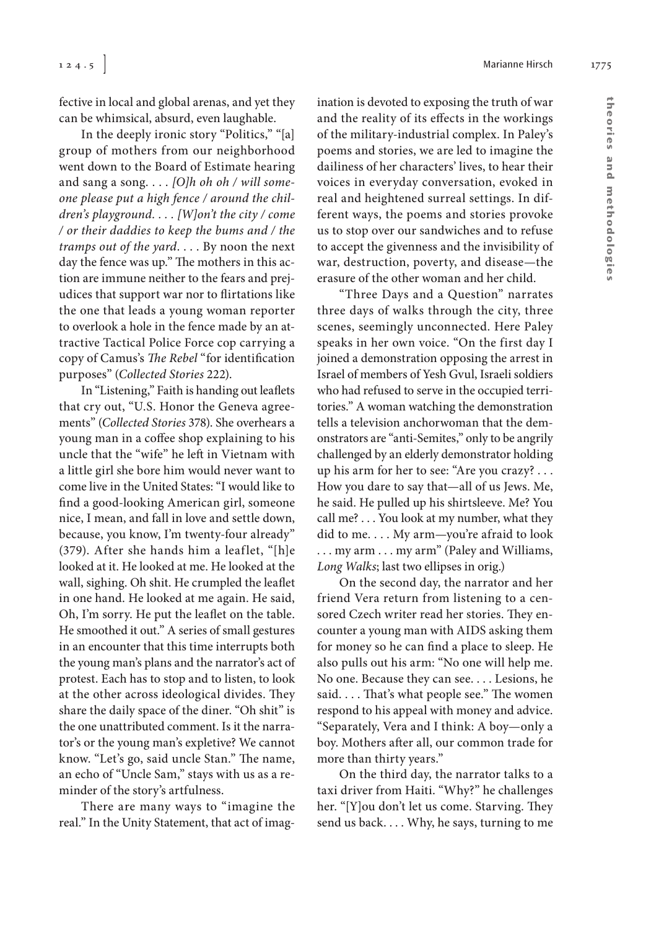fective in local and global arenas, and yet they can be whimsical, absurd, even laughable.

In the deeply ironic story "Politics," "[a] group of mothers from our neighborhood went down to the Board of Estimate hearing and sang a song. . . . *[O]h oh oh / will someone please put a high fence / around the children's playground. . . . [W]on't the city / come / or their daddies to keep the bums and / the tramps out of the yard*. . . . By noon the next day the fence was up." The mothers in this action are immune neither to the fears and prejudices that support war nor to flirtations like the one that leads a young woman reporter to overlook a hole in the fence made by an attractive Tactical Police Force cop carrying a copy of Camus's *The Rebel* "for identification purposes" (*Collected Stories* 222).

In "Listening," Faith is handing out leaflets that cry out, "U.S. Honor the Geneva agreements" (*Collected Stories* 378). She overhears a young man in a coffee shop explaining to his uncle that the "wife" he left in Vietnam with a little girl she bore him would never want to come live in the United States: "I would like to find a good-looking American girl, someone nice, I mean, and fall in love and settle down, because, you know, I'm twenty-four already" (379). After she hands him a leaflet, "[h]e looked at it. He looked at me. He looked at the wall, sighing. Oh shit. He crumpled the leaflet in one hand. He looked at me again. He said, Oh, I'm sorry. He put the leaflet on the table. He smoothed it out." A series of small gestures in an encounter that this time interrupts both the young man's plans and the narrator's act of protest. Each has to stop and to listen, to look at the other across ideological divides. They share the daily space of the diner. "Oh shit" is the one unattributed comment. Is it the narrator's or the young man's expletive? We cannot know. "Let's go, said uncle Stan." The name, an echo of "Uncle Sam," stays with us as a reminder of the story's artfulness.

There are many ways to "imagine the real." In the Unity Statement, that act of imagination is devoted to exposing the truth of war and the reality of its effects in the workings of the military-industrial complex. In Paley's poems and stories, we are led to imagine the dailiness of her characters' lives, to hear their voices in everyday conversation, evoked in real and heightened surreal settings. In different ways, the poems and stories provoke us to stop over our sandwiches and to refuse to accept the givenness and the invisibility of war, destruction, poverty, and disease—the erasure of the other woman and her child.

"Three Days and a Question" narrates three days of walks through the city, three scenes, seemingly unconnected. Here Paley speaks in her own voice. "On the first day I joined a demonstration opposing the arrest in Israel of members of Yesh Gvul, Israeli soldiers who had refused to serve in the occupied territories." A woman watching the demonstration tells a television anchorwoman that the demonstrators are "anti-Semites," only to be angrily challenged by an elderly demonstrator holding up his arm for her to see: "Are you crazy? . . . How you dare to say that—all of us Jews. Me, he said. He pulled up his shirtsleeve. Me? You call me? . . . You look at my number, what they did to me. . . . My arm-you're afraid to look . . . my arm . . . my arm" (Paley and Williams, *Long Walks*; last two ellipses in orig.)

On the second day, the narrator and her friend Vera return from listening to a censored Czech writer read her stories. They encounter a young man with AIDS asking them for money so he can find a place to sleep. He also pulls out his arm: "No one will help me. No one. Because they can see. . . . Lesions, he said. . . . That's what people see." The women respond to his appeal with money and advice. "Separately, Vera and I think: A boy—only a boy. Mothers after all, our common trade for more than thirty years."

On the third day, the narrator talks to a taxi driver from Haiti. "Why?" he challenges her. "[Y]ou don't let us come. Starving. They send us back. . . . Why, he says, turning to me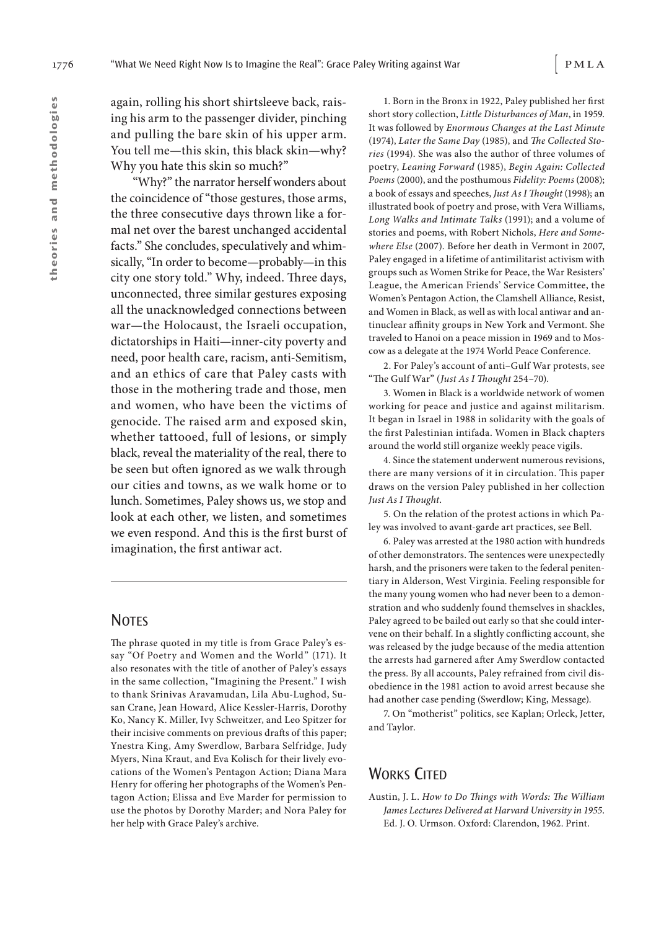theories and methodologies **theories and methodologies** again, rolling his short shirtsleeve back, raising his arm to the passenger divider, pinching and pulling the bare skin of his upper arm. You tell me—this skin, this black skin—why? Why you hate this skin so much?"

"Why?" the narrator herself wonders about the coincidence of "those gestures, those arms, the three consecutive days thrown like a formal net over the barest unchanged accidental facts." She concludes, speculatively and whimsically, "In order to become—probably—in this city one story told." Why, indeed. Three days, unconnected, three similar gestures exposing all the unacknowledged connections between war—the Holocaust, the Israeli occupation, dictatorships in Haiti—inner-city poverty and need, poor health care, racism, anti-Semitism, and an ethics of care that Paley casts with those in the mothering trade and those, men and women, who have been the victims of genocide. The raised arm and exposed skin, whether tattooed, full of lesions, or simply black, reveal the materiality of the real, there to be seen but often ignored as we walk through our cities and towns, as we walk home or to lunch. Sometimes, Paley shows us, we stop and look at each other, we listen, and sometimes we even respond. And this is the first burst of imagination, the first antiwar act.

#### **NOTES**

The phrase quoted in my title is from Grace Paley's essay "Of Poetry and Women and the World" (171). It also resonates with the title of another of Paley's essays in the same collection, "Imagining the Present." I wish to thank Srinivas Aravamudan, Lila Abu-Lughod, Susan Crane, Jean Howard, Alice Kessler-Harris, Dorothy Ko, Nancy K. Miller, Ivy Schweitzer, and Leo Spitzer for their incisive comments on previous drafts of this paper; Ynestra King, Amy Swerdlow, Barbara Selfridge, Judy Myers, Nina Kraut, and Eva Kolisch for their lively evocations of the Women's Pentagon Action; Diana Mara Henry for offering her photographs of the Women's Pentagon Action; Elissa and Eve Marder for permission to use the photos by Dorothy Marder; and Nora Paley for her help with Grace Paley's archive.

1. Born in the Bronx in 1922, Paley published her first short story collection, *Little Disturbances of Man*, in 1959. It was followed by *Enormous Changes at the Last Minute* (1974), *Later the Same Day* (1985), and *The Collected Stories* (1994). She was also the author of three volumes of poetry, *Leaning Forward* (1985), *Begin Again: Collected Poems* (2000), and the posthumous *Fidelity: Poems* (2008); a book of essays and speeches, *Just As I Thought* (1998); an illustrated book of poetry and prose, with Vera Williams, *Long Walks and Intimate Talks* (1991); and a volume of stories and poems, with Robert Nichols, *Here and Somewhere Else* (2007). Before her death in Vermont in 2007, Paley engaged in a lifetime of antimilitarist activism with groups such as Women Strike for Peace, the War Resisters' League, the American Friends' Service Committee, the Women's Pentagon Action, the Clamshell Alliance, Resist, and Women in Black, as well as with local antiwar and antinuclear affinity groups in New York and Vermont. She traveled to Hanoi on a peace mission in 1969 and to Moscow as a delegate at the 1974 World Peace Conference.

2. For Paley's account of anti–Gulf War protests, see "The Gulf War" (*Just As I Thought* 254–70).

3. Women in Black is a worldwide network of women working for peace and justice and against militarism. It began in Israel in 1988 in solidarity with the goals of the first Palestinian intifada. Women in Black chapters around the world still organize weekly peace vigils.

4. Since the statement underwent numerous revisions, there are many versions of it in circulation. This paper draws on the version Paley published in her collection *Just As I Thought*.

5. On the relation of the protest actions in which Paley was involved to avant-garde art practices, see Bell.

6. Paley was arrested at the 1980 action with hundreds of other demonstrators. The sentences were unexpectedly harsh, and the prisoners were taken to the federal penitentiary in Alderson, West Virginia. Feeling responsible for the many young women who had never been to a demonstration and who suddenly found themselves in shackles, Paley agreed to be bailed out early so that she could intervene on their behalf. In a slightly conflicting account, she was released by the judge because of the media attention the arrests had garnered after Amy Swerdlow contacted the press. By all accounts, Paley refrained from civil disobedience in the 1981 action to avoid arrest because she had another case pending (Swerdlow; King, Message).

7. On "motherist" politics, see Kaplan; Orleck, Jetter, and Taylor.

### **WORKS CITED**

Austin, J. L. *How to Do Things with Words: The William James Lectures Delivered at Harvard University in 1955*. Ed. J. O. Urmson. Oxford: Clarendon, 1962. Print.